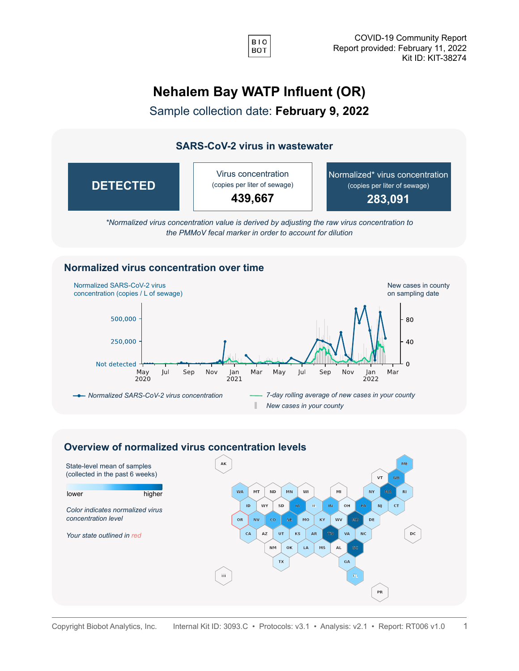

## **Nehalem Bay WATP Influent (OR)**

Sample collection date: **February 9, 2022**

## **SARS-CoV-2 virus in wastewater**



*\*Normalized virus concentration value is derived by adjusting the raw virus concentration to the PMMoV fecal marker in order to account for dilution*

## **Normalized virus concentration over time**